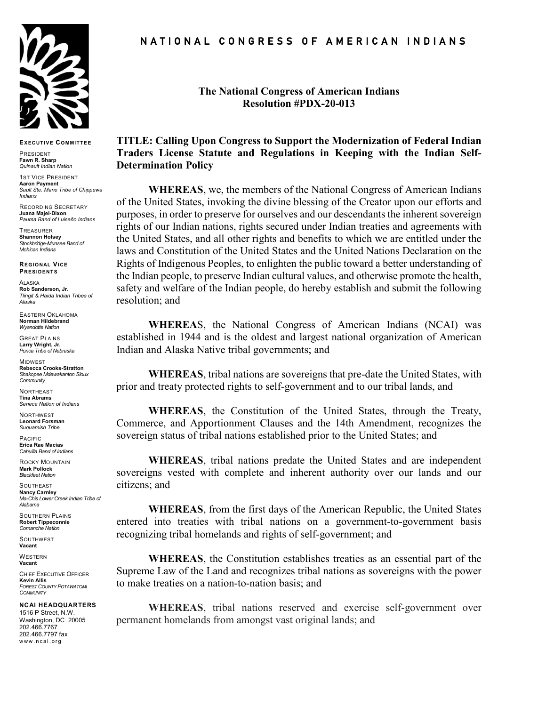

**EXECUTIVE COMMITTEE**

PRESIDENT **Fawn R. Sharp** *Quinault Indian Nation*

**1ST VICE PRESIDENT Aaron Payment** *Sault Ste. Marie Tribe of Chippewa Indians*

RECORDING SECRETARY **Juana Majel-Dixon** *Pauma Band of Luiseño Indians*

TREASURER **Shannon Holsey** *Stockbridge-Munsee Band of Mohican Indians*

**REGIONAL VICE PRESIDENTS**

ALASKA **Rob Sanderson, Jr.** *Tlingit & Haida Indian Tribes of Alaska*

EASTERN OKLAHOMA **Norman Hildebrand** *Wyandotte Nation*

GREAT PLAINS **Larry Wright, Jr.** *Ponca Tribe of Nebraska*

**MIDWEST Rebecca Crooks-Stratton** *Shakopee Mdewakanton Sioux Community*

**NORTHEAST Tina Abrams** *Seneca Nation of Indians*

NORTHWEST **Leonard Forsman** *Suquamish Tribe*

PACIFIC **Erica Rae Macias** *Cahuilla Band of Indians*

ROCKY MOUNTAIN **Mark Pollock**

*Blackfeet Nation* **SOUTHEAST Nancy Carnley** *Ma-Chis Lower Creek Indian Tribe of Alabama*

SOUTHERN PLAINS **Robert Tippeconnie** *Comanche Nation*

**SOUTHWEST Vacant**

**WESTERN Vacant**

CHIEF EXECUTIVE OFFICER **Kevin Allis** *FOREST COUNTY POTAWATOMI COMMUNITY*

**NCAI HEADQUARTERS**

1516 P Street, N.W. Washington, DC 20005 202.466.7767 202.466.7797 fax www.ncai.org

N A T I O N A L C O N G R E S S O F A M E R I C A N I N D I A N S

**The National Congress of American Indians Resolution #PDX-20-013**

## **TITLE: Calling Upon Congress to Support the Modernization of Federal Indian Traders License Statute and Regulations in Keeping with the Indian Self-Determination Policy**

**WHEREAS**, we, the members of the National Congress of American Indians of the United States, invoking the divine blessing of the Creator upon our efforts and purposes, in order to preserve for ourselves and our descendants the inherent sovereign rights of our Indian nations, rights secured under Indian treaties and agreements with the United States, and all other rights and benefits to which we are entitled under the laws and Constitution of the United States and the United Nations Declaration on the Rights of Indigenous Peoples, to enlighten the public toward a better understanding of the Indian people, to preserve Indian cultural values, and otherwise promote the health, safety and welfare of the Indian people, do hereby establish and submit the following resolution; and

**WHEREA**S, the National Congress of American Indians (NCAI) was established in 1944 and is the oldest and largest national organization of American Indian and Alaska Native tribal governments; and

**WHEREAS**, tribal nations are sovereigns that pre-date the United States, with prior and treaty protected rights to self-government and to our tribal lands, and

**WHEREAS**, the Constitution of the United States, through the Treaty, Commerce, and Apportionment Clauses and the 14th Amendment, recognizes the sovereign status of tribal nations established prior to the United States; and

**WHEREAS**, tribal nations predate the United States and are independent sovereigns vested with complete and inherent authority over our lands and our citizens; and

**WHEREAS**, from the first days of the American Republic, the United States entered into treaties with tribal nations on a government-to-government basis recognizing tribal homelands and rights of self-government; and

**WHEREAS**, the Constitution establishes treaties as an essential part of the Supreme Law of the Land and recognizes tribal nations as sovereigns with the power to make treaties on a nation-to-nation basis; and

**WHEREAS**, tribal nations reserved and exercise self-government over permanent homelands from amongst vast original lands; and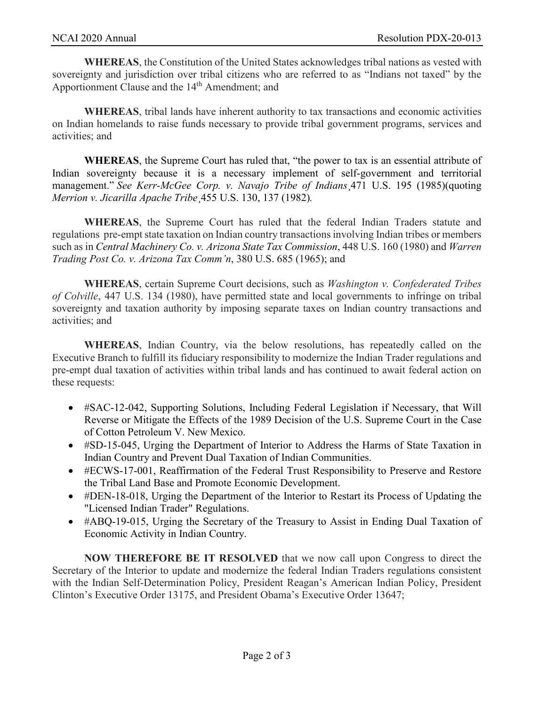**WHEREAS**, the Constitution of the United States acknowledges tribal nations as vested with sovereignty and jurisdiction over tribal citizens who are referred to as "Indians not taxed" by the Apportionment Clause and the 14<sup>th</sup> Amendment; and

**WHEREAS**, tribal lands have inherent authority to tax transactions and economic activities on Indian homelands to raise funds necessary to provide tribal government programs, services and activities; and

**WHEREAS**, the Supreme Court has ruled that, "the power to tax is an essential attribute of Indian sovereignty because it is a necessary implement of self-government and territorial management." *See Kerr-McGee Corp. v. Navajo Tribe of Indians*¸471 U.S. 195 (1985)(quoting *Merrion v. Jicarilla Apache Tribe*¸455 U.S. 130, 137 (1982)*.*

**WHEREAS**, the Supreme Court has ruled that the federal Indian Traders statute and regulations pre-empt state taxation on Indian country transactions involving Indian tribes or members such as in *Central Machinery Co. v. Arizona State Tax Commission*, 448 U.S. 160 (1980) and *Warren Trading Post Co. v. Arizona Tax Comm'n*, 380 U.S. 685 (1965); and

**WHEREAS**, certain Supreme Court decisions, such as *Washington v. Confederated Tribes of Colville*, 447 U.S. 134 (1980), have permitted state and local governments to infringe on tribal sovereignty and taxation authority by imposing separate taxes on Indian country transactions and activities; and

**WHEREAS**, Indian Country, via the below resolutions, has repeatedly called on the Executive Branch to fulfill its fiduciary responsibility to modernize the Indian Trader regulations and pre-empt dual taxation of activities within tribal lands and has continued to await federal action on these requests:

- #SAC-12-042, Supporting Solutions, Including Federal Legislation if Necessary, that Will Reverse or Mitigate the Effects of the 1989 Decision of the U.S. Supreme Court in the Case of Cotton Petroleum V. New Mexico.
- #SD-15-045, Urging the Department of Interior to Address the Harms of State Taxation in Indian Country and Prevent Dual Taxation of Indian Communities.
- #ECWS-17-001, Reaffirmation of the Federal Trust Responsibility to Preserve and Restore the Tribal Land Base and Promote Economic Development.
- #DEN-18-018, Urging the Department of the Interior to Restart its Process of Updating the "Licensed Indian Trader" Regulations.
- #ABQ-19-015, Urging the Secretary of the Treasury to Assist in Ending Dual Taxation of Economic Activity in Indian Country.

**NOW THEREFORE BE IT RESOLVED** that we now call upon Congress to direct the Secretary of the Interior to update and modernize the federal Indian Traders regulations consistent with the Indian Self-Determination Policy, President Reagan's American Indian Policy, President Clinton's Executive Order 13175, and President Obama's Executive Order 13647;